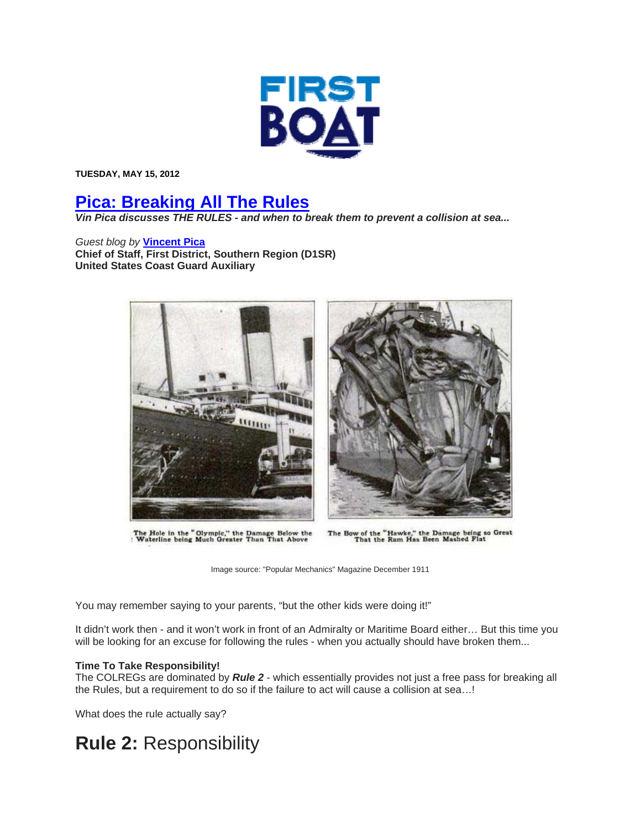

**TUESDAY, MAY 15, 2012** 

## **Pica: Breaking All The Rules**

*Vin Pica discusses THE RULES - and when to break them to prevent a collision at sea...* 

*Guest blog by* **Vincent Pica Chief of Staff, First District, Southern Region (D1SR) United States Coast Guard Auxiliary**



The Hole in the "Olympic," the Damage Below the 'Waterline being Much Greater Than That Above



The Bow of the "Hawke," the Damage being so Great<br>That the Ram Has Been Mashed Flat

Image source: "Popular Mechanics" Magazine December 1911

You may remember saying to your parents, "but the other kids were doing it!"

It didn't work then - and it won't work in front of an Admiralty or Maritime Board either… But this time you will be looking for an excuse for following the rules - when you actually should have broken them...

## **Time To Take Responsibility!**

The COLREGs are dominated by *Rule 2* - which essentially provides not just a free pass for breaking all the Rules, but a requirement to do so if the failure to act will cause a collision at sea…!

What does the rule actually say?

## **Rule 2:** Responsibility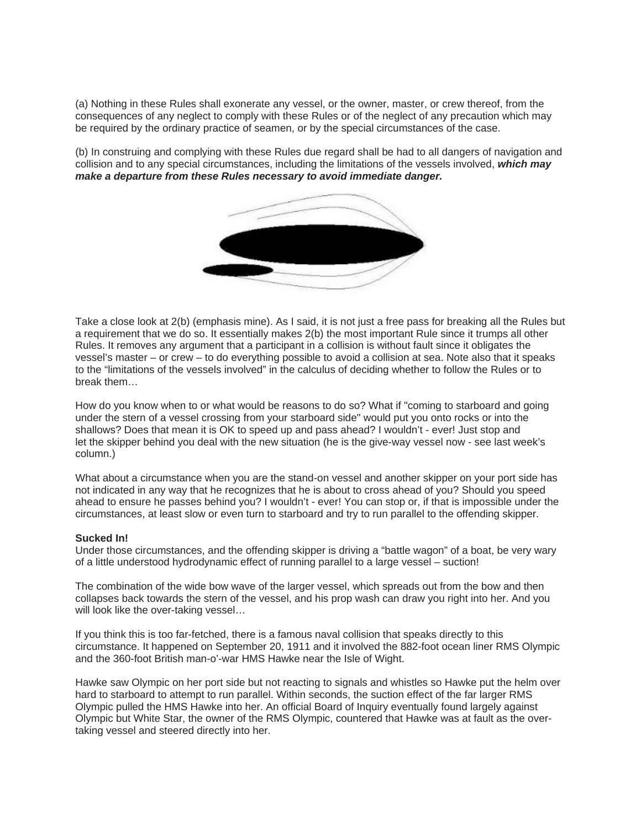(a) Nothing in these Rules shall exonerate any vessel, or the owner, master, or crew thereof, from the consequences of any neglect to comply with these Rules or of the neglect of any precaution which may be required by the ordinary practice of seamen, or by the special circumstances of the case.

(b) In construing and complying with these Rules due regard shall be had to all dangers of navigation and collision and to any special circumstances, including the limitations of the vessels involved, *which may make a departure from these Rules necessary to avoid immediate danger.*



Take a close look at 2(b) (emphasis mine). As I said, it is not just a free pass for breaking all the Rules but a requirement that we do so. It essentially makes 2(b) the most important Rule since it trumps all other Rules. It removes any argument that a participant in a collision is without fault since it obligates the vessel's master – or crew – to do everything possible to avoid a collision at sea. Note also that it speaks to the "limitations of the vessels involved" in the calculus of deciding whether to follow the Rules or to break them…

How do you know when to or what would be reasons to do so? What if "coming to starboard and going under the stern of a vessel crossing from your starboard side" would put you onto rocks or into the shallows? Does that mean it is OK to speed up and pass ahead? I wouldn't - ever! Just stop and let the skipper behind you deal with the new situation (he is the give-way vessel now - see last week's column.)

What about a circumstance when you are the stand-on vessel and another skipper on your port side has not indicated in any way that he recognizes that he is about to cross ahead of you? Should you speed ahead to ensure he passes behind you? I wouldn't - ever! You can stop or, if that is impossible under the circumstances, at least slow or even turn to starboard and try to run parallel to the offending skipper.

## **Sucked In!**

Under those circumstances, and the offending skipper is driving a "battle wagon" of a boat, be very wary of a little understood hydrodynamic effect of running parallel to a large vessel – suction!

The combination of the wide bow wave of the larger vessel, which spreads out from the bow and then collapses back towards the stern of the vessel, and his prop wash can draw you right into her. And you will look like the over-taking vessel…

If you think this is too far-fetched, there is a famous naval collision that speaks directly to this circumstance. It happened on September 20, 1911 and it involved the 882-foot ocean liner RMS Olympic and the 360-foot British man-o'-war HMS Hawke near the Isle of Wight.

Hawke saw Olympic on her port side but not reacting to signals and whistles so Hawke put the helm over hard to starboard to attempt to run parallel. Within seconds, the suction effect of the far larger RMS Olympic pulled the HMS Hawke into her. An official Board of Inquiry eventually found largely against Olympic but White Star, the owner of the RMS Olympic, countered that Hawke was at fault as the overtaking vessel and steered directly into her.